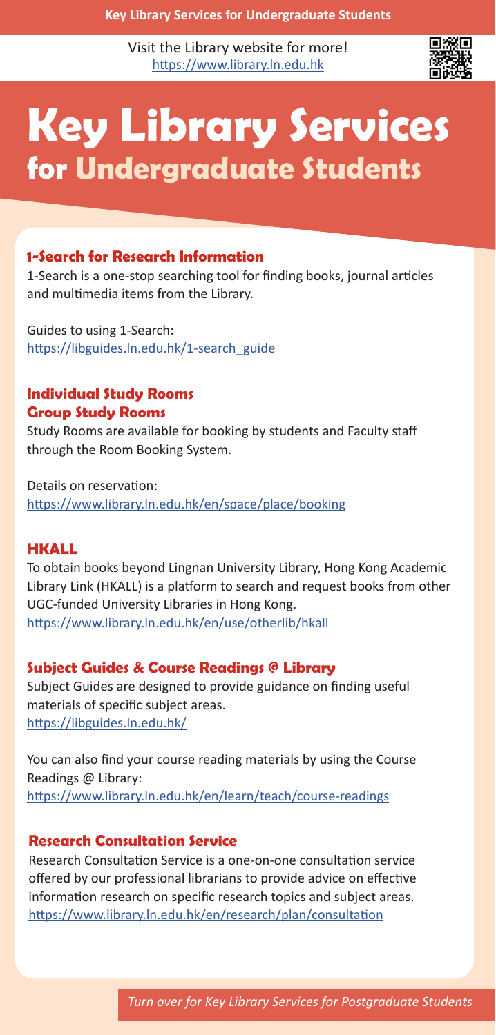Visit the Library website for more! https://www.library.ln.edu.hk



# **Key Library Services for Undergraduate Students**

# **1-Search for Research Information**

1-Search is a one-stop searching tool for finding books, journal articles and multimedia items from the Library.

Guides to using 1-Search: https://libguides.ln.edu.hk/1-search\_guide

## **Individual Study Rooms Group Study Rooms**

Study Rooms are available for booking by students and Faculty staff through the Room Booking System.

Details on reservation: https://www.library.ln.edu.hk/en/space/place/booking

## **HKALL**

To obtain books beyond Lingnan University Library, Hong Kong Academic Library Link (HKALL) is a platform to search and request books from other UGC-funded University Libraries in Hong Kong. https://www.library.ln.edu.hk/en/use/otherlib/hkall

## **Subject Guides & Course Readings @ Library**

Subject Guides are designed to provide guidance on finding useful materials of specific subject areas. https://libguides.ln.edu.hk/

You can also find your course reading materials by using the Course Readings @ Library: https://www.library.ln.edu.hk/en/learn/teach/course-readings

## **Research Consultation Service**

Research Consultation Service is a one‐on‐one consultation service offered by our professional librarians to provide advice on effective information research on specific research topics and subject areas. https://www.library.ln.edu.hk/en/research/plan/consultation